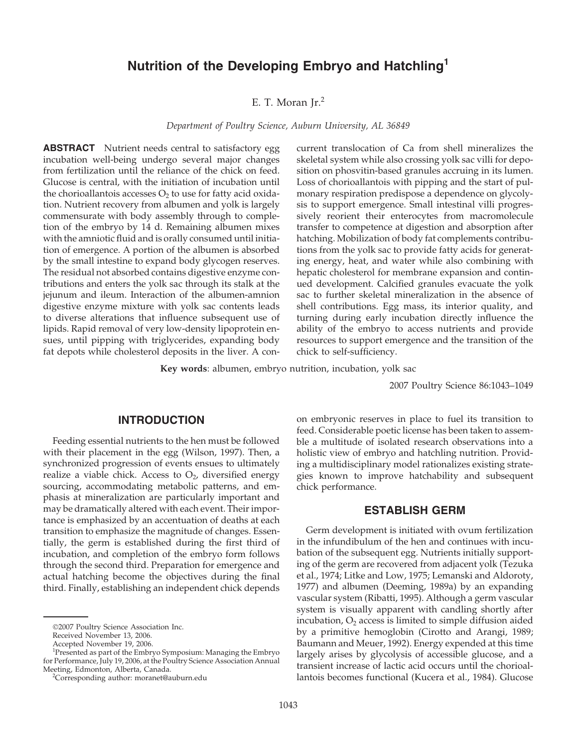# **Nutrition of the Developing Embryo and Hatchling1**

# E. T. Moran  $Ir.<sup>2</sup>$

*Department of Poultry Science, Auburn University, AL 36849*

**ABSTRACT** Nutrient needs central to satisfactory egg incubation well-being undergo several major changes from fertilization until the reliance of the chick on feed. Glucose is central, with the initiation of incubation until the chorioallantois accesses  $O_2$  to use for fatty acid oxidation. Nutrient recovery from albumen and yolk is largely commensurate with body assembly through to completion of the embryo by 14 d. Remaining albumen mixes with the amniotic fluid and is orally consumed until initiation of emergence. A portion of the albumen is absorbed by the small intestine to expand body glycogen reserves. The residual not absorbed contains digestive enzyme contributions and enters the yolk sac through its stalk at the jejunum and ileum. Interaction of the albumen-amnion digestive enzyme mixture with yolk sac contents leads to diverse alterations that influence subsequent use of lipids. Rapid removal of very low-density lipoprotein ensues, until pipping with triglycerides, expanding body fat depots while cholesterol deposits in the liver. A concurrent translocation of Ca from shell mineralizes the skeletal system while also crossing yolk sac villi for deposition on phosvitin-based granules accruing in its lumen. Loss of chorioallantois with pipping and the start of pulmonary respiration predispose a dependence on glycolysis to support emergence. Small intestinal villi progressively reorient their enterocytes from macromolecule transfer to competence at digestion and absorption after hatching. Mobilization of body fat complements contributions from the yolk sac to provide fatty acids for generating energy, heat, and water while also combining with hepatic cholesterol for membrane expansion and continued development. Calcified granules evacuate the yolk sac to further skeletal mineralization in the absence of shell contributions. Egg mass, its interior quality, and turning during early incubation directly influence the ability of the embryo to access nutrients and provide resources to support emergence and the transition of the chick to self-sufficiency.

**Key words**: albumen, embryo nutrition, incubation, yolk sac

2007 Poultry Science 86:1043–1049

### **INTRODUCTION**

Feeding essential nutrients to the hen must be followed with their placement in the egg (Wilson, 1997). Then, a synchronized progression of events ensues to ultimately realize a viable chick. Access to  $O<sub>2</sub>$ , diversified energy sourcing, accommodating metabolic patterns, and emphasis at mineralization are particularly important and may be dramatically altered with each event. Their importance is emphasized by an accentuation of deaths at each transition to emphasize the magnitude of changes. Essentially, the germ is established during the first third of incubation, and completion of the embryo form follows through the second third. Preparation for emergence and actual hatching become the objectives during the final third. Finally, establishing an independent chick depends

Received November 13, 2006.

on embryonic reserves in place to fuel its transition to feed. Considerable poetic license has been taken to assemble a multitude of isolated research observations into a holistic view of embryo and hatchling nutrition. Providing a multidisciplinary model rationalizes existing strategies known to improve hatchability and subsequent chick performance.

## **ESTABLISH GERM**

Germ development is initiated with ovum fertilization in the infundibulum of the hen and continues with incubation of the subsequent egg. Nutrients initially supporting of the germ are recovered from adjacent yolk (Tezuka et al., 1974; Litke and Low, 1975; Lemanski and Aldoroty, 1977) and albumen (Deeming, 1989a) by an expanding vascular system (Ribatti, 1995). Although a germ vascular system is visually apparent with candling shortly after incubation,  $O_2$  access is limited to simple diffusion aided by a primitive hemoglobin (Cirotto and Arangi, 1989; Baumann and Meuer, 1992). Energy expended at this time largely arises by glycolysis of accessible glucose, and a transient increase of lactic acid occurs until the chorioallantois becomes functional (Kucera et al., 1984). Glucose

<sup>©</sup>2007 Poultry Science Association Inc.

Accepted November 19, 2006.

<sup>&</sup>lt;sup>1</sup>Presented as part of the Embryo Symposium: Managing the Embryo for Performance, July 19, 2006, at the Poultry Science Association Annual Meeting, Edmonton, Alberta, Canada. <sup>2</sup>

<sup>&</sup>lt;sup>2</sup>Corresponding author: moranet@auburn.edu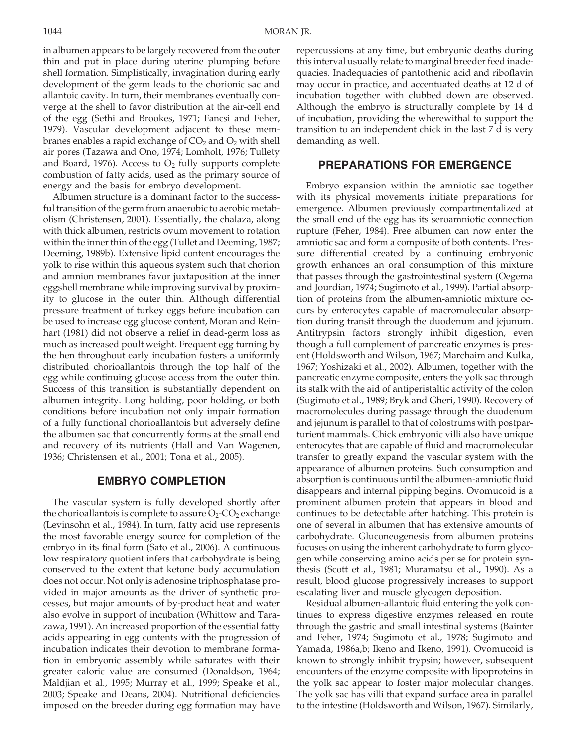in albumen appears to be largely recovered from the outer thin and put in place during uterine plumping before shell formation. Simplistically, invagination during early development of the germ leads to the chorionic sac and allantoic cavity. In turn, their membranes eventually converge at the shell to favor distribution at the air-cell end of the egg (Sethi and Brookes, 1971; Fancsi and Feher, 1979). Vascular development adjacent to these membranes enables a rapid exchange of  $CO<sub>2</sub>$  and  $O<sub>2</sub>$  with shell air pores (Tazawa and Ono, 1974; Lomholt, 1976; Tullety and Board, 1976). Access to  $O<sub>2</sub>$  fully supports complete combustion of fatty acids, used as the primary source of energy and the basis for embryo development.

Albumen structure is a dominant factor to the successful transition of the germ from anaerobic to aerobic metabolism (Christensen, 2001). Essentially, the chalaza, along with thick albumen, restricts ovum movement to rotation within the inner thin of the egg (Tullet and Deeming, 1987; Deeming, 1989b). Extensive lipid content encourages the yolk to rise within this aqueous system such that chorion and amnion membranes favor juxtaposition at the inner eggshell membrane while improving survival by proximity to glucose in the outer thin. Although differential pressure treatment of turkey eggs before incubation can be used to increase egg glucose content, Moran and Reinhart (1981) did not observe a relief in dead-germ loss as much as increased poult weight. Frequent egg turning by the hen throughout early incubation fosters a uniformly distributed chorioallantois through the top half of the egg while continuing glucose access from the outer thin. Success of this transition is substantially dependent on albumen integrity. Long holding, poor holding, or both conditions before incubation not only impair formation of a fully functional chorioallantois but adversely define the albumen sac that concurrently forms at the small end and recovery of its nutrients (Hall and Van Wagenen, 1936; Christensen et al., 2001; Tona et al., 2005).

## **EMBRYO COMPLETION**

The vascular system is fully developed shortly after the chorioallantois is complete to assure  $O_2$ -CO<sub>2</sub> exchange (Levinsohn et al., 1984). In turn, fatty acid use represents the most favorable energy source for completion of the embryo in its final form (Sato et al., 2006). A continuous low respiratory quotient infers that carbohydrate is being conserved to the extent that ketone body accumulation does not occur. Not only is adenosine triphosphatase provided in major amounts as the driver of synthetic processes, but major amounts of by-product heat and water also evolve in support of incubation (Whittow and Tarazawa, 1991). An increased proportion of the essential fatty acids appearing in egg contents with the progression of incubation indicates their devotion to membrane formation in embryonic assembly while saturates with their greater caloric value are consumed (Donaldson, 1964; Maldjian et al., 1995; Murray et al., 1999; Speake et al., 2003; Speake and Deans, 2004). Nutritional deficiencies imposed on the breeder during egg formation may have repercussions at any time, but embryonic deaths during this interval usually relate to marginal breeder feed inadequacies. Inadequacies of pantothenic acid and riboflavin may occur in practice, and accentuated deaths at 12 d of incubation together with clubbed down are observed. Although the embryo is structurally complete by 14 d of incubation, providing the wherewithal to support the transition to an independent chick in the last 7 d is very demanding as well.

#### **PREPARATIONS FOR EMERGENCE**

Embryo expansion within the amniotic sac together with its physical movements initiate preparations for emergence. Albumen previously compartmentalized at the small end of the egg has its seroamniotic connection rupture (Feher, 1984). Free albumen can now enter the amniotic sac and form a composite of both contents. Pressure differential created by a continuing embryonic growth enhances an oral consumption of this mixture that passes through the gastrointestinal system (Oegema and Jourdian, 1974; Sugimoto et al., 1999). Partial absorption of proteins from the albumen-amniotic mixture occurs by enterocytes capable of macromolecular absorption during transit through the duodenum and jejunum. Antitrypsin factors strongly inhibit digestion, even though a full complement of pancreatic enzymes is present (Holdsworth and Wilson, 1967; Marchaim and Kulka, 1967; Yoshizaki et al., 2002). Albumen, together with the pancreatic enzyme composite, enters the yolk sac through its stalk with the aid of antiperistaltic activity of the colon (Sugimoto et al., 1989; Bryk and Gheri, 1990). Recovery of macromolecules during passage through the duodenum and jejunum is parallel to that of colostrums with postparturient mammals. Chick embryonic villi also have unique enterocytes that are capable of fluid and macromolecular transfer to greatly expand the vascular system with the appearance of albumen proteins. Such consumption and absorption is continuous until the albumen-amniotic fluid disappears and internal pipping begins. Ovomucoid is a prominent albumen protein that appears in blood and continues to be detectable after hatching. This protein is one of several in albumen that has extensive amounts of carbohydrate. Gluconeogenesis from albumen proteins focuses on using the inherent carbohydrate to form glycogen while conserving amino acids per se for protein synthesis (Scott et al., 1981; Muramatsu et al., 1990). As a result, blood glucose progressively increases to support escalating liver and muscle glycogen deposition.

Residual albumen-allantoic fluid entering the yolk continues to express digestive enzymes released en route through the gastric and small intestinal systems (Bainter and Feher, 1974; Sugimoto et al., 1978; Sugimoto and Yamada, 1986a,b; Ikeno and Ikeno, 1991). Ovomucoid is known to strongly inhibit trypsin; however, subsequent encounters of the enzyme composite with lipoproteins in the yolk sac appear to foster major molecular changes. The yolk sac has villi that expand surface area in parallel to the intestine (Holdsworth and Wilson, 1967). Similarly,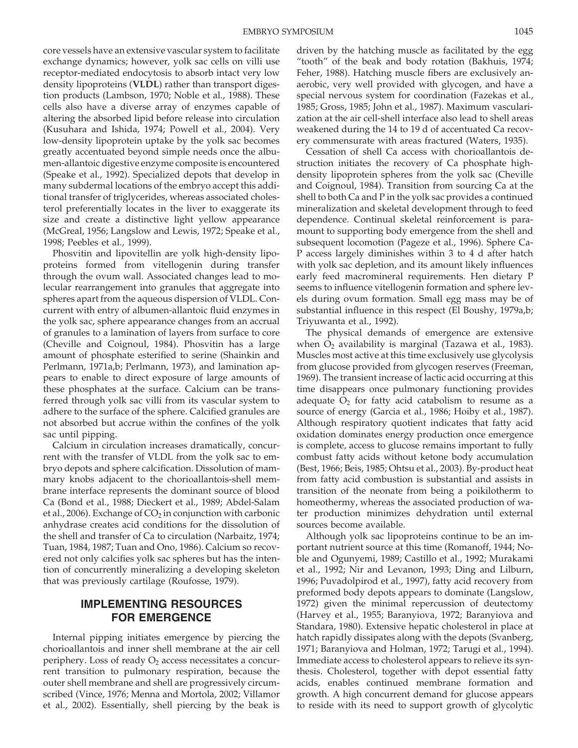core vessels have an extensive vascular system to facilitate exchange dynamics; however, yolk sac cells on villi use receptor-mediated endocytosis to absorb intact very low density lipoproteins (**VLDL**) rather than transport digestion products (Lambson, 1970; Noble et al., 1988). These cells also have a diverse array of enzymes capable of altering the absorbed lipid before release into circulation (Kusuhara and Ishida, 1974; Powell et al., 2004). Very low-density lipoprotein uptake by the yolk sac becomes greatly accentuated beyond simple needs once the albumen-allantoic digestive enzyme composite is encountered (Speake et al., 1992). Specialized depots that develop in many subdermal locations of the embryo accept this additional transfer of triglycerides, whereas associated cholesterol preferentially locates in the liver to exaggerate its size and create a distinctive light yellow appearance (McGreal, 1956; Langslow and Lewis, 1972; Speake et al., 1998; Peebles et al., 1999).

Phosvitin and lipovitellin are yolk high-density lipoproteins formed from vitellogenin during transfer through the ovum wall. Associated changes lead to molecular rearrangement into granules that aggregate into spheres apart from the aqueous dispersion of VLDL. Concurrent with entry of albumen-allantoic fluid enzymes in the yolk sac, sphere appearance changes from an accrual of granules to a lamination of layers from surface to core (Cheville and Coignoul, 1984). Phosvitin has a large amount of phosphate esterified to serine (Shainkin and Perlmann, 1971a,b; Perlmann, 1973), and lamination appears to enable to direct exposure of large amounts of these phosphates at the surface. Calcium can be transferred through yolk sac villi from its vascular system to adhere to the surface of the sphere. Calcified granules are not absorbed but accrue within the confines of the yolk sac until pipping.

Calcium in circulation increases dramatically, concurrent with the transfer of VLDL from the yolk sac to embryo depots and sphere calcification. Dissolution of mammary knobs adjacent to the chorioallantois-shell membrane interface represents the dominant source of blood Ca (Bond et al., 1988; Dieckert et al., 1989; Abdel-Salam et al., 2006). Exchange of  $CO<sub>2</sub>$  in conjunction with carbonic anhydrase creates acid conditions for the dissolution of the shell and transfer of Ca to circulation (Narbaitz, 1974; Tuan, 1984, 1987; Tuan and Ono, 1986). Calcium so recovered not only calcifies yolk sac spheres but has the intention of concurrently mineralizing a developing skeleton that was previously cartilage (Roufosse, 1979).

# **IMPLEMENTING RESOURCES FOR EMERGENCE**

Internal pipping initiates emergence by piercing the chorioallantois and inner shell membrane at the air cell periphery. Loss of ready  $O_2$  access necessitates a concurrent transition to pulmonary respiration, because the outer shell membrane and shell are progressively circumscribed (Vince, 1976; Menna and Mortola, 2002; Villamor et al., 2002). Essentially, shell piercing by the beak is driven by the hatching muscle as facilitated by the egg "tooth" of the beak and body rotation (Bakhuis, 1974; Feher, 1988). Hatching muscle fibers are exclusively anaerobic, very well provided with glycogen, and have a special nervous system for coordination (Fazekas et al., 1985; Gross, 1985; John et al., 1987). Maximum vascularization at the air cell-shell interface also lead to shell areas weakened during the 14 to 19 d of accentuated Ca recovery commensurate with areas fractured (Waters, 1935).

Cessation of shell Ca access with chorioallantois destruction initiates the recovery of Ca phosphate highdensity lipoprotein spheres from the yolk sac (Cheville and Coignoul, 1984). Transition from sourcing Ca at the shell to both Ca and P in the yolk sac provides a continued mineralization and skeletal development through to feed dependence. Continual skeletal reinforcement is paramount to supporting body emergence from the shell and subsequent locomotion (Pageze et al., 1996). Sphere Ca-P access largely diminishes within 3 to 4 d after hatch with yolk sac depletion, and its amount likely influences early feed macromineral requirements. Hen dietary P seems to influence vitellogenin formation and sphere levels during ovum formation. Small egg mass may be of substantial influence in this respect (El Boushy, 1979a,b; Triyuwanta et al., 1992).

The physical demands of emergence are extensive when  $O_2$  availability is marginal (Tazawa et al., 1983). Muscles most active at this time exclusively use glycolysis from glucose provided from glycogen reserves (Freeman, 1969). The transient increase of lactic acid occurring at this time disappears once pulmonary functioning provides adequate  $O_2$  for fatty acid catabolism to resume as a source of energy (Garcia et al., 1986; Hoiby et al., 1987). Although respiratory quotient indicates that fatty acid oxidation dominates energy production once emergence is complete, access to glucose remains important to fully combust fatty acids without ketone body accumulation (Best, 1966; Beis, 1985; Ohtsu et al., 2003). By-product heat from fatty acid combustion is substantial and assists in transition of the neonate from being a poikilotherm to homeothermy, whereas the associated production of water production minimizes dehydration until external sources become available.

Although yolk sac lipoproteins continue to be an important nutrient source at this time (Romanoff, 1944; Noble and Ogunyemi, 1989; Castillo et al., 1992; Murakami et al., 1992; Nir and Levanon, 1993; Ding and Lilburn, 1996; Puvadolpirod et al., 1997), fatty acid recovery from preformed body depots appears to dominate (Langslow, 1972) given the minimal repercussion of deutectomy (Harvey et al., 1955; Baranyiova, 1972; Baranyiova and Standara, 1980). Extensive hepatic cholesterol in place at hatch rapidly dissipates along with the depots (Svanberg, 1971; Baranyiova and Holman, 1972; Tarugi et al., 1994). Immediate access to cholesterol appears to relieve its synthesis. Cholesterol, together with depot essential fatty acids, enables continued membrane formation and growth. A high concurrent demand for glucose appears to reside with its need to support growth of glycolytic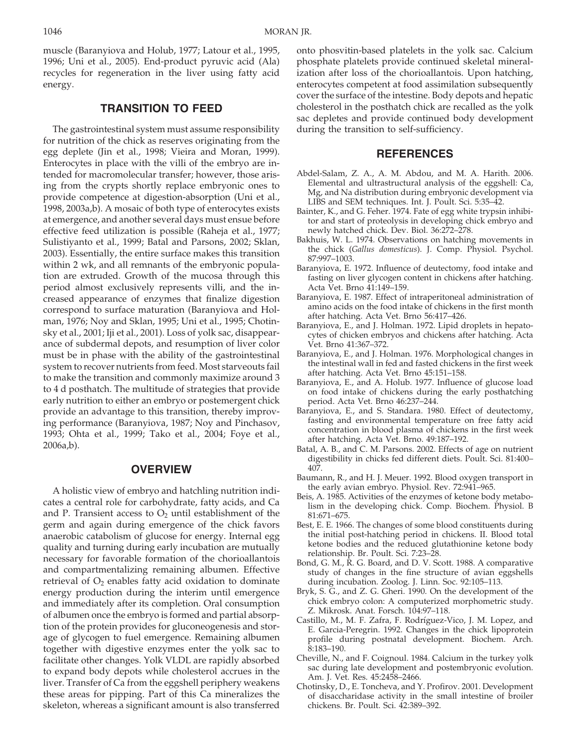muscle (Baranyiova and Holub, 1977; Latour et al., 1995, 1996; Uni et al., 2005). End-product pyruvic acid (Ala) recycles for regeneration in the liver using fatty acid energy.

# **TRANSITION TO FEED**

The gastrointestinal system must assume responsibility for nutrition of the chick as reserves originating from the egg deplete (Jin et al., 1998; Vieira and Moran, 1999). Enterocytes in place with the villi of the embryo are intended for macromolecular transfer; however, those arising from the crypts shortly replace embryonic ones to provide competence at digestion-absorption (Uni et al., 1998, 2003a,b). A mosaic of both type of enterocytes exists at emergence, and another several days must ensue before effective feed utilization is possible (Raheja et al., 1977; Sulistiyanto et al., 1999; Batal and Parsons, 2002; Sklan, 2003). Essentially, the entire surface makes this transition within 2 wk, and all remnants of the embryonic population are extruded. Growth of the mucosa through this period almost exclusively represents villi, and the increased appearance of enzymes that finalize digestion correspond to surface maturation (Baranyiova and Holman, 1976; Noy and Sklan, 1995; Uni et al., 1995; Chotinsky et al., 2001; Iji et al., 2001). Loss of yolk sac, disappearance of subdermal depots, and resumption of liver color must be in phase with the ability of the gastrointestinal system to recover nutrients from feed. Most starveouts fail to make the transition and commonly maximize around 3 to 4 d posthatch. The multitude of strategies that provide early nutrition to either an embryo or postemergent chick provide an advantage to this transition, thereby improving performance (Baranyiova, 1987; Noy and Pinchasov, 1993; Ohta et al., 1999; Tako et al., 2004; Foye et al., 2006a,b).

#### **OVERVIEW**

A holistic view of embryo and hatchling nutrition indicates a central role for carbohydrate, fatty acids, and Ca and P. Transient access to  $O_2$  until establishment of the germ and again during emergence of the chick favors anaerobic catabolism of glucose for energy. Internal egg quality and turning during early incubation are mutually necessary for favorable formation of the chorioallantois and compartmentalizing remaining albumen. Effective retrieval of  $O_2$  enables fatty acid oxidation to dominate energy production during the interim until emergence and immediately after its completion. Oral consumption of albumen once the embryo is formed and partial absorption of the protein provides for gluconeogenesis and storage of glycogen to fuel emergence. Remaining albumen together with digestive enzymes enter the yolk sac to facilitate other changes. Yolk VLDL are rapidly absorbed to expand body depots while cholesterol accrues in the liver. Transfer of Ca from the eggshell periphery weakens these areas for pipping. Part of this Ca mineralizes the skeleton, whereas a significant amount is also transferred onto phosvitin-based platelets in the yolk sac. Calcium phosphate platelets provide continued skeletal mineralization after loss of the chorioallantois. Upon hatching, enterocytes competent at food assimilation subsequently cover the surface of the intestine. Body depots and hepatic cholesterol in the posthatch chick are recalled as the yolk sac depletes and provide continued body development during the transition to self-sufficiency.

#### **REFERENCES**

- Abdel-Salam, Z. A., A. M. Abdou, and M. A. Harith. 2006. Elemental and ultrastructural analysis of the eggshell: Ca, Mg, and Na distribution during embryonic development via LIBS and SEM techniques. Int. J. Poult. Sci. 5:35–42.
- Bainter, K., and G. Feher. 1974. Fate of egg white trypsin inhibitor and start of proteolysis in developing chick embryo and newly hatched chick. Dev. Biol. 36:272–278.
- Bakhuis, W. L. 1974. Observations on hatching movements in the chick (*Gallus domesticus*). J. Comp. Physiol. Psychol. 87:997–1003.
- Baranyiova, E. 1972. Influence of deutectomy, food intake and fasting on liver glycogen content in chickens after hatching. Acta Vet. Brno 41:149–159.
- Baranyiova, E. 1987. Effect of intraperitoneal administration of amino acids on the food intake of chickens in the first month after hatching. Acta Vet. Brno 56:417–426.
- Baranyiova, E., and J. Holman. 1972. Lipid droplets in hepatocytes of chicken embryos and chickens after hatching. Acta Vet. Brno 41:367–372.
- Baranyiova, E., and J. Holman. 1976. Morphological changes in the intestinal wall in fed and fasted chickens in the first week after hatching. Acta Vet. Brno 45:151–158.
- Baranyiova, E., and A. Holub. 1977. Influence of glucose load on food intake of chickens during the early posthatching period. Acta Vet. Brno 46:237–244.
- Baranyiova, E., and S. Standara. 1980. Effect of deutectomy, fasting and environmental temperature on free fatty acid concentration in blood plasma of chickens in the first week after hatching. Acta Vet. Brno. 49:187–192.
- Batal, A. B., and C. M. Parsons. 2002. Effects of age on nutrient digestibility in chicks fed different diets. Poult. Sci. 81:400– 407.
- Baumann, R., and H. J. Meuer. 1992. Blood oxygen transport in the early avian embryo. Physiol. Rev. 72:941–965.
- Beis, A. 1985. Activities of the enzymes of ketone body metabolism in the developing chick. Comp. Biochem. Physiol. B 81:671–675.
- Best, E. E. 1966. The changes of some blood constituents during the initial post-hatching period in chickens. II. Blood total ketone bodies and the reduced glutathionine ketone body relationship. Br. Poult. Sci. 7:23–28.
- Bond, G. M., R. G. Board, and D. V. Scott. 1988. A comparative study of changes in the fine structure of avian eggshells during incubation. Zoolog. J. Linn. Soc. 92:105–113.
- Bryk, S. G., and Z. G. Gheri. 1990. On the development of the chick embryo colon: A computerized morphometric study. Z. Mikrosk. Anat. Forsch. 104:97–118.
- Castillo, M., M. F. Zafra, F. Rodríguez-Vico, J. M. Lopez, and E. Garcia-Peregrin. 1992. Changes in the chick lipoprotein profile during postnatal development. Biochem. Arch. 8:183–190.
- Cheville, N., and F. Coignoul. 1984. Calcium in the turkey yolk sac during late development and postembryonic evolution. Am. J. Vet. Res. 45:2458–2466.
- Chotinsky, D., E. Toncheva, and Y. Profirov. 2001. Development of disaccharidase activity in the small intestine of broiler chickens. Br. Poult. Sci. 42:389–392.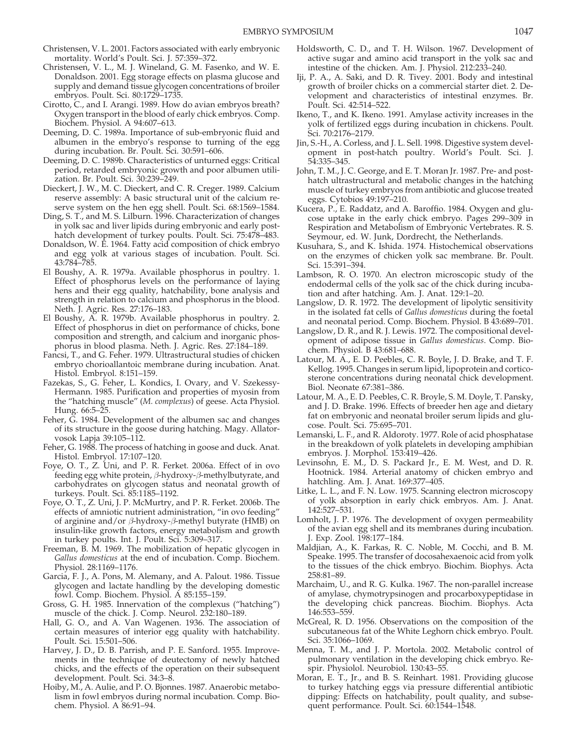- Christensen, V. L. 2001. Factors associated with early embryonic mortality. World's Poult. Sci. J. 57:359–372.
- Christensen, V. L., M. J. Wineland, G. M. Fasenko, and W. E. Donaldson. 2001. Egg storage effects on plasma glucose and supply and demand tissue glycogen concentrations of broiler embryos. Poult. Sci. 80:1729–1735.
- Cirotto, C., and I. Arangi. 1989. How do avian embryos breath? Oxygen transport in the blood of early chick embryos. Comp. Biochem. Physiol. A 94:607–613.
- Deeming, D. C. 1989a. Importance of sub-embryonic fluid and albumen in the embryo's response to turning of the egg during incubation. Br. Poult. Sci. 30:591–606.
- Deeming, D. C. 1989b. Characteristics of unturned eggs: Critical period, retarded embryonic growth and poor albumen utilization. Br. Poult. Sci. 30:239–249.
- Dieckert, J. W., M. C. Dieckert, and C. R. Creger. 1989. Calcium reserve assembly: A basic structural unit of the calcium reserve system on the hen egg shell. Poult. Sci. 68:1569–1584.
- Ding, S. T., and M. S. Lilburn. 1996. Characterization of changes in yolk sac and liver lipids during embryonic and early posthatch development of turkey poults. Poult. Sci. 75:478–483.
- Donaldson, W. E. 1964. Fatty acid composition of chick embryo and egg yolk at various stages of incubation. Poult. Sci. 43:784–785.
- El Boushy, A. R. 1979a. Available phosphorus in poultry. 1. Effect of phosphorus levels on the performance of laying hens and their egg quality, hatchability, bone analysis and strength in relation to calcium and phosphorus in the blood. Neth. J. Agric. Res. 27:176–183.
- El Boushy, A. R. 1979b. Available phosphorus in poultry. 2. Effect of phosphorus in diet on performance of chicks, bone composition and strength, and calcium and inorganic phosphorus in blood plasma. Neth. J. Agric. Res. 27:184–189.
- Fancsi, T., and G. Feher. 1979. Ultrastructural studies of chicken embryo chorioallantoic membrane during incubation. Anat. Histol. Embryol. 8:151–159.
- Fazekas, S., G. Feher, L. Kondics, I. Ovary, and V. Szekessy-Hermann. 1985. Purification and properties of myosin from the "hatching muscle" (*M. complexus*) of geese. Acta Physiol. Hung. 66:5–25.
- Feher, G. 1984. Development of the albumen sac and changes of its structure in the goose during hatching. Magy. Allatorvosok Lapja 39:105–112.
- Feher, G. 1988. The process of hatching in goose and duck. Anat. Histol. Embryol. 17:107–120.
- Foye, O. T., Z. Uni, and P. R. Ferket. 2006a. Effect of in ovo feeding egg white protein,  $β$ -hydroxy- $β$ -methylbutyrate, and carbohydrates on glycogen status and neonatal growth of turkeys. Poult. Sci. 85:1185–1192.
- Foye, O. T., Z. Uni, J. P. McMurtry, and P. R. Ferket. 2006b. The effects of amniotic nutrient administration, "in ovo feeding" of arginine and/or β-hydroxy-β-methyl butyrate (HMB) on insulin-like growth factors, energy metabolism and growth in turkey poults. Int. J. Poult. Sci. 5:309–317.
- Freeman, B. M. 1969. The mobilization of hepatic glycogen in *Gallus domesticus* at the end of incubation. Comp. Biochem. Physiol. 28:1169–1176.
- Garcia, F. J., A. Pons, M. Alemany, and A. Palout. 1986. Tissue glycogen and lactate handling by the developing domestic fowl. Comp. Biochem. Physiol. A 85:155–159.
- Gross, G. H. 1985. Innervation of the complexus ("hatching") muscle of the chick. J. Comp. Neurol. 232:180–189.
- Hall, G. O., and A. Van Wagenen. 1936. The association of certain measures of interior egg quality with hatchability. Poult. Sci. 15:501–506.
- Harvey, J. D., D. B. Parrish, and P. E. Sanford. 1955. Improvements in the technique of deutectomy of newly hatched chicks, and the effects of the operation on their subsequent development. Poult. Sci. 34:3–8.
- Hoiby, M., A. Aulie, and P. O. Bjonnes. 1987. Anaerobic metabolism in fowl embryos during normal incubation. Comp. Biochem. Physiol. A 86:91–94.
- Holdsworth, C. D., and T. H. Wilson. 1967. Development of active sugar and amino acid transport in the yolk sac and intestine of the chicken. Am. J. Physiol. 212:233–240.
- Iji, P. A., A. Saki, and D. R. Tivey. 2001. Body and intestinal growth of broiler chicks on a commercial starter diet. 2. Development and characteristics of intestinal enzymes. Br. Poult. Sci. 42:514–522.
- Ikeno, T., and K. Ikeno. 1991. Amylase activity increases in the yolk of fertilized eggs during incubation in chickens. Poult. Sci. 70:2176–2179.
- Jin, S.-H., A. Corless, and J. L. Sell. 1998. Digestive system development in post-hatch poultry. World's Poult. Sci. J. 54:335–345.
- John, T. M., J. C. George, and E. T. Moran Jr. 1987. Pre- and posthatch ultrastructural and metabolic changes in the hatching muscle of turkey embryos from antibiotic and glucose treated eggs. Cytobios 49:197–210.
- Kucera, P., E. Raddatz, and A. Baroffio. 1984. Oxygen and glucose uptake in the early chick embryo. Pages 299–309 in Respiration and Metabolism of Embryonic Vertebrates. R. S. Seymour, ed. W. Junk, Dordrecht, the Netherlands.
- Kusuhara, S., and K. Ishida. 1974. Histochemical observations on the enzymes of chicken yolk sac membrane. Br. Poult. Sci. 15:391–394.
- Lambson, R. O. 1970. An electron microscopic study of the endodermal cells of the yolk sac of the chick during incubation and after hatching. Am. J. Anat. 129:1–20.
- Langslow, D. R. 1972. The development of lipolytic sensitivity in the isolated fat cells of *Gallus domesticus* during the foetal and neonatal period. Comp. Biochem. Physiol. B 43:689–701.
- Langslow, D. R., and R. J. Lewis. 1972. The compositional development of adipose tissue in *Gallus domesticus*. Comp. Biochem. Physiol. B 43:681–688.
- Latour, M. A., E. D. Peebles, C. R. Boyle, J. D. Brake, and T. F. Kellog. 1995. Changes in serum lipid, lipoprotein and corticosterone concentrations during neonatal chick development. Biol. Neonate 67:381–386.
- Latour, M. A., E. D. Peebles, C. R. Broyle, S. M. Doyle, T. Pansky, and J. D. Brake. 1996. Effects of breeder hen age and dietary fat on embryonic and neonatal broiler serum lipids and glucose. Poult. Sci. 75:695–701.
- Lemanski, L. F., and R. Aldoroty. 1977. Role of acid phosphatase in the breakdown of yolk platelets in developing amphibian embryos. J. Morphol. 153:419–426.
- Levinsohn, E. M., D. S. Packard Jr., E. M. West, and D. R. Hootnick. 1984. Arterial anatomy of chicken embryo and hatchling. Am. J. Anat. 169:377–405.
- Litke, L. L., and F. N. Low. 1975. Scanning electron microscopy of yolk absorption in early chick embryos. Am. J. Anat. 142:527–531.
- Lomholt, J. P. 1976. The development of oxygen permeability of the avian egg shell and its membranes during incubation. J. Exp. Zool. 198:177–184.
- Maldjian, A., K. Farkas, R. C. Noble, M. Cocchi, and B. M. Speake. 1995. The transfer of docosahexaenoic acid from yolk to the tissues of the chick embryo. Biochim. Biophys. Acta 258:81–89.
- Marchaim, U., and R. G. Kulka. 1967. The non-parallel increase of amylase, chymotrypsinogen and procarboxypeptidase in the developing chick pancreas. Biochim. Biophys. Acta 146:553–559.
- McGreal, R. D. 1956. Observations on the composition of the subcutaneous fat of the White Leghorn chick embryo. Poult. Sci. 35:1066–1069.
- Menna, T. M., and J. P. Mortola. 2002. Metabolic control of pulmonary ventilation in the developing chick embryo. Respir. Physiolol. Neurobiol. 130:43–55.
- Moran, E. T., Jr., and B. S. Reinhart. 1981. Providing glucose to turkey hatching eggs via pressure differential antibiotic dipping: Effects on hatchability, poult quality, and subsequent performance. Poult. Sci. 60:1544–1548.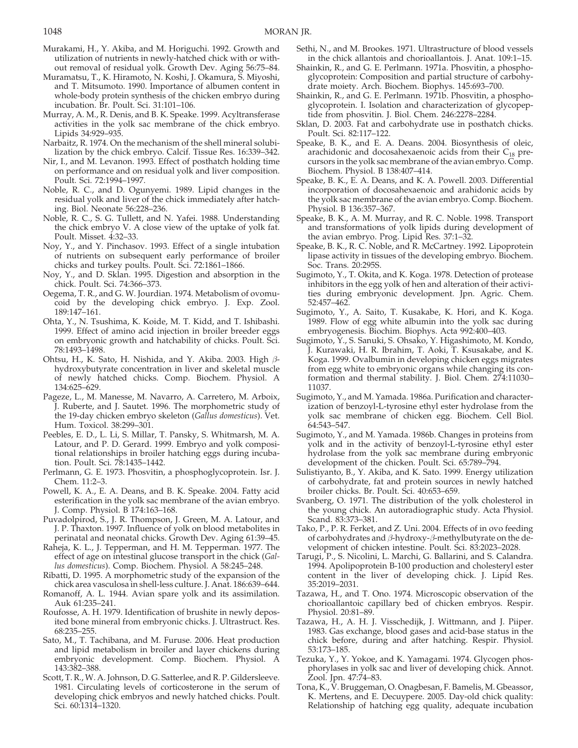- Murakami, H., Y. Akiba, and M. Horiguchi. 1992. Growth and utilization of nutrients in newly-hatched chick with or without removal of residual yolk. Growth Dev. Aging 56:75–84.
- Muramatsu, T., K. Hiramoto, N. Koshi, J. Okamura, S. Miyoshi, and T. Mitsumoto. 1990. Importance of albumen content in whole-body protein synthesis of the chicken embryo during incubation. Br. Poult. Sci. 31:101–106.
- Murray, A. M., R. Denis, and B. K. Speake. 1999. Acyltransferase activities in the yolk sac membrane of the chick embryo. Lipids 34:929–935.
- Narbaitz, R. 1974. On the mechanism of the shell mineral solubilization by the chick embryo. Calcif. Tissue Res. 16:339–342.
- Nir, I., and M. Levanon. 1993. Effect of posthatch holding time on performance and on residual yolk and liver composition. Poult. Sci. 72:1994–1997.
- Noble, R. C., and D. Ogunyemi. 1989. Lipid changes in the residual yolk and liver of the chick immediately after hatching. Biol. Neonate 56:228–236.
- Noble, R. C., S. G. Tullett, and N. Yafei. 1988. Understanding the chick embryo V. A close view of the uptake of yolk fat. Poult. Misset. 4:32–33.
- Noy, Y., and Y. Pinchasov. 1993. Effect of a single intubation of nutrients on subsequent early performance of broiler chicks and turkey poults. Poult. Sci. 72:1861–1866.
- Noy, Y., and D. Sklan. 1995. Digestion and absorption in the chick. Poult. Sci. 74:366–373.
- Oegema, T. R., and G. W. Jourdian. 1974. Metabolism of ovomucoid by the developing chick embryo. J. Exp. Zool. 189:147–161.
- Ohta, Y., N. Tsushima, K. Koide, M. T. Kidd, and T. Ishibashi. 1999. Effect of amino acid injection in broiler breeder eggs on embryonic growth and hatchability of chicks. Poult. Sci. 78:1493–1498.
- Ohtsu, H., K. Sato, H. Nishida, and Y. Akiba. 2003. High βhydroxybutyrate concentration in liver and skeletal muscle of newly hatched chicks. Comp. Biochem. Physiol. A 134:625–629.
- Pageze, L., M. Manesse, M. Navarro, A. Carretero, M. Arboix, J. Ruberte, and J. Sautet. 1996. The morphometric study of the 19-day chicken embryo skeleton (*Gallus domesticus*). Vet. Hum. Toxicol. 38:299–301.
- Peebles, E. D., L. Li, S. Millar, T. Pansky, S. Whitmarsh, M. A. Latour, and P. D. Gerard. 1999. Embryo and yolk compositional relationships in broiler hatching eggs during incubation. Poult. Sci. 78:1435–1442.
- Perlmann, G. E. 1973. Phosvitin, a phosphoglycoprotein. Isr. J. Chem. 11:2–3.
- Powell, K. A., E. A. Deans, and B. K. Speake. 2004. Fatty acid esterification in the yolk sac membrane of the avian embryo. J. Comp. Physiol. B 174:163–168.
- Puvadolpirod, S., J. R. Thompson, J. Green, M. A. Latour, and J. P. Thaxton. 1997. Influence of yolk on blood metabolites in perinatal and neonatal chicks. Growth Dev. Aging 61:39–45.
- Raheja, K. L., J. Tepperman, and H. M. Tepperman. 1977. The effect of age on intestinal glucose transport in the chick (*Gallus domesticus*). Comp. Biochem. Physiol. A 58:245–248.
- Ribatti, D. 1995. A morphometric study of the expansion of the chick area vasculosa in shell-less culture. J. Anat. 186:639–644.
- Romanoff, A. L. 1944. Avian spare yolk and its assimilation. Auk 61:235–241.
- Roufosse, A. H. 1979. Identification of brushite in newly deposited bone mineral from embryonic chicks. J. Ultrastruct. Res. 68:235–255.
- Sato, M., T. Tachibana, and M. Furuse. 2006. Heat production and lipid metabolism in broiler and layer chickens during embryonic development. Comp. Biochem. Physiol. A 143:382–388.
- Scott, T. R., W. A. Johnson, D. G. Satterlee, and R. P. Gildersleeve. 1981. Circulating levels of corticosterone in the serum of developing chick embryos and newly hatched chicks. Poult. Sci. 60:1314–1320.
- Sethi, N., and M. Brookes. 1971. Ultrastructure of blood vessels in the chick allantois and chorioallantois. J. Anat. 109:1–15.
- Shainkin, R., and G. E. Perlmann. 1971a. Phosvitin, a phosphoglycoprotein: Composition and partial structure of carbohydrate moiety. Arch. Biochem. Biophys. 145:693–700.
- Shainkin, R., and G. E. Perlmann. 1971b. Phosvitin, a phosphoglycoprotein. I. Isolation and characterization of glycopeptide from phosvitin. J. Biol. Chem. 246:2278–2284.
- Sklan, D. 2003. Fat and carbohydrate use in posthatch chicks. Poult. Sci. 82:117–122.
- Speake, B. K., and E. A. Deans. 2004. Biosynthesis of oleic, arachidonic and docosahexaenoic acids from their  $C_{18}$  precursors in the yolk sac membrane of the avian embryo. Comp. Biochem. Physiol. B 138:407–414.
- Speake, B. K., E. A. Deans, and K. A. Powell. 2003. Differential incorporation of docosahexaenoic and arahidonic acids by the yolk sac membrane of the avian embryo. Comp. Biochem. Physiol. B 136:357–367.
- Speake, B. K., A. M. Murray, and R. C. Noble. 1998. Transport and transformations of yolk lipids during development of the avian embryo. Prog. Lipid Res. 37:1–32.
- Speake, B. K., R. C. Noble, and R. McCartney. 1992. Lipoprotein lipase activity in tissues of the developing embryo. Biochem. Soc. Trans. 20:295S.
- Sugimoto, Y., T. Okita, and K. Koga. 1978. Detection of protease inhibitors in the egg yolk of hen and alteration of their activities during embryonic development. Jpn. Agric. Chem. 52:457–462.
- Sugimoto, Y., A. Saito, T. Kusakabe, K. Hori, and K. Koga. 1989. Flow of egg white albumin into the yolk sac during embryogenesis. Biochim. Biophys. Acta 992:400–403.
- Sugimoto, Y., S. Sanuki, S. Ohsako, Y. Higashimoto, M. Kondo, J. Kurawaki, H. R. Ibrahim, T. Aoki, T. Ksusakabe, and K. Koga. 1999. Ovalbumin in developing chicken eggs migrates from egg white to embryonic organs while changing its conformation and thermal stability. J. Biol. Chem. 274:11030– 11037.
- Sugimoto, Y., and M. Yamada. 1986a. Purification and characterization of benzoyl-L-tyrosine ethyl ester hydrolase from the yolk sac membrane of chicken egg. Biochem. Cell Biol. 64:543–547.
- Sugimoto, Y., and M. Yamada. 1986b. Changes in proteins from yolk and in the activity of benzoyl-L-tyrosine ethyl ester hydrolase from the yolk sac membrane during embryonic development of the chicken. Poult. Sci. 65:789–794.
- Sulistiyanto, B., Y. Akiba, and K. Sato. 1999. Energy utilization of carbohydrate, fat and protein sources in newly hatched broiler chicks. Br. Poult. Sci. 40:653–659.
- Svanberg, O. 1971. The distribution of the yolk cholesterol in the young chick. An autoradiographic study. Acta Physiol. Scand. 83:373–381.
- Tako, P., P. R. Ferket, and Z. Uni. 2004. Effects of in ovo feeding of carbohydrates and  $\beta$ -hydroxy- $\beta$ -methylbutyrate on the development of chicken intestine. Poult. Sci. 83:2023–2028.
- Tarugi, P., S. Nicolini, L. Marchi, G. Ballarini, and S. Calandra. 1994. Apolipoprotein B-100 production and cholesteryl ester content in the liver of developing chick. J. Lipid Res. 35:2019–2031.
- Tazawa, H., and T. Ono. 1974. Microscopic observation of the chorioallantoic capillary bed of chicken embryos. Respir. Physiol. 20:81–89.
- Tazawa, H., A. H. J. Visschedijk, J. Wittmann, and J. Piiper. 1983. Gas exchange, blood gases and acid-base status in the chick before, during and after hatching. Respir. Physiol. 53:173–185.
- Tezuka, Y., Y. Yokoe, and K. Yamagami. 1974. Glycogen phosphorylases in yolk sac and liver of developing chick. Annot. Zool. Jpn. 47:74–83.
- Tona, K., V. Bruggeman, O. Onagbesan, F. Bamelis, M. Gbeassor, K. Mertens, and E. Decuypere. 2005. Day-old chick quality: Relationship of hatching egg quality, adequate incubation